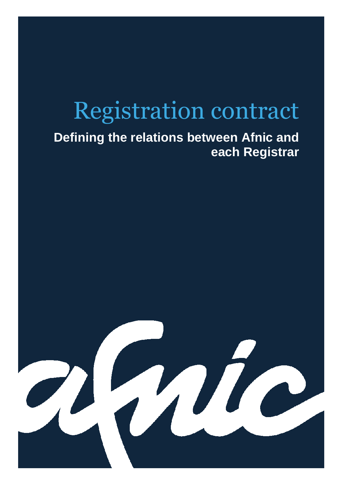# Registration contract

# **Defining the relations between Afnic and each Registrar**

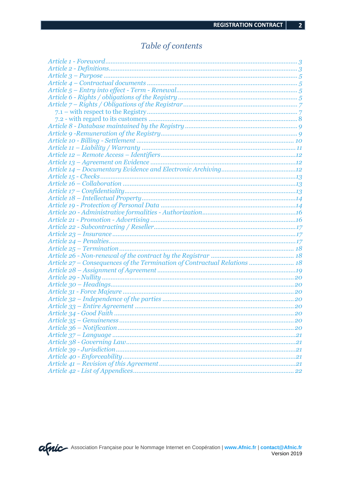## Table of contents

| Article 27 – Consequences of the Termination of Contractual Relations  18 |  |
|---------------------------------------------------------------------------|--|
|                                                                           |  |
|                                                                           |  |
|                                                                           |  |
|                                                                           |  |
|                                                                           |  |
|                                                                           |  |
|                                                                           |  |
|                                                                           |  |
|                                                                           |  |
|                                                                           |  |
|                                                                           |  |
|                                                                           |  |
|                                                                           |  |
|                                                                           |  |
|                                                                           |  |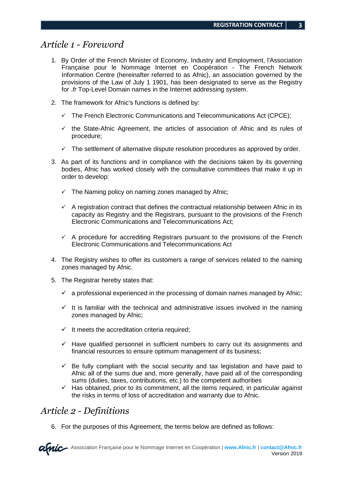#### *Article 1 - Foreword*

- 1. By Order of the French Minister of Economy, Industry and Employment, l'Association Française pour le Nommage Internet en Coopération - The French Network Information Centre (hereinafter referred to as Afnic), an association governed by the provisions of the Law of July 1 1901, has been designated to serve as the Registry for .fr Top-Level Domain names in the Internet addressing system.
- 2. The framework for Afnic's functions is defined by:
	- $\checkmark$  The French Electronic Communications and Telecommunications Act (CPCE);
	- $\checkmark$  the State-Afnic Agreement, the articles of association of Afnic and its rules of procedure;
	- $\checkmark$  The settlement of alternative dispute resolution procedures as approved by order.
- 3. As part of its functions and in compliance with the decisions taken by its governing bodies, Afnic has worked closely with the consultative committees that make it up in order to develop:
	- $\checkmark$  The Naming policy on naming zones managed by Afnic;
	- $\checkmark$  A registration contract that defines the contractual relationship between Afnic in its capacity as Registry and the Registrars, pursuant to the provisions of the French Electronic Communications and Telecommunications Act;
	- $\checkmark$  A procedure for accrediting Registrars pursuant to the provisions of the French Electronic Communications and Telecommunications Act
- 4. The Registry wishes to offer its customers a range of services related to the naming zones managed by Afnic.
- 5. The Registrar hereby states that:
	- $\checkmark$  a professional experienced in the processing of domain names managed by Afnic;
	- $\checkmark$  It is familiar with the technical and administrative issues involved in the naming zones managed by Afnic;
	- $\checkmark$  It meets the accreditation criteria required:
	- $\checkmark$  Have qualified personnel in sufficient numbers to carry out its assignments and financial resources to ensure optimum management of its business;
	- $\checkmark$  Be fully compliant with the social security and tax legislation and have paid to Afnic all of the sums due and, more generally, have paid all of the corresponding sums (duties, taxes, contributions, etc.) to the competent authorities
	- $\checkmark$  Has obtained, prior to its commitment, all the items required, in particular against the risks in terms of loss of accreditation and warranty due to Afnic.

#### *Article 2 - Definitions*

6. For the purposes of this Agreement, the terms below are defined as follows: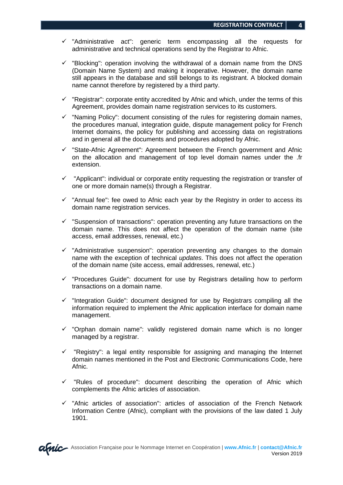- $\checkmark$  "Administrative act": generic term encompassing all the requests for administrative and technical operations send by the Registrar to Afnic.
- $\checkmark$  "Blocking": operation involving the withdrawal of a domain name from the DNS (Domain Name System) and making it inoperative. However, the domain name still appears in the database and still belongs to its registrant. A blocked domain name cannot therefore by registered by a third party.
- $\checkmark$  "Registrar": corporate entity accredited by Afnic and which, under the terms of this Agreement, provides domain name registration services to its customers.
- $\checkmark$  "Naming Policy": document consisting of the rules for registering domain names, the procedures manual, integration guide, dispute management policy for French Internet domains, the policy for publishing and accessing data on registrations and in general all the documents and procedures adopted by Afnic.
- $\checkmark$  "State-Afnic Agreement": Agreement between the French government and Afnic on the allocation and management of top level domain names under the .fr extension.
- $\checkmark$  "Applicant": individual or corporate entity requesting the registration or transfer of one or more domain name(s) through a Registrar.
- $\checkmark$  "Annual fee": fee owed to Afnic each year by the Registry in order to access its domain name registration services.
- $\checkmark$  "Suspension of transactions": operation preventing any future transactions on the domain name. This does not affect the operation of the domain name (site access, email addresses, renewal, etc.)
- $\checkmark$  "Administrative suspension": operation preventing any changes to the domain name with the exception of technical *updates*. This does not affect the operation of the domain name (site access, email addresses, renewal, etc.)
- $\checkmark$  "Procedures Guide": document for use by Registrars detailing how to perform transactions on a domain name.
- $\checkmark$  "Integration Guide": document designed for use by Registrars compiling all the information required to implement the Afnic application interface for domain name management.
- $\checkmark$  "Orphan domain name": validly registered domain name which is no longer managed by a registrar.
- $\checkmark$  "Registry": a legal entity responsible for assigning and managing the Internet domain names mentioned in the Post and Electronic Communications Code, here Afnic.
- $\checkmark$  "Rules of procedure": document describing the operation of Afnic which complements the Afnic articles of association.
- $\checkmark$  "Afnic articles of association": articles of association of the French Network Information Centre (Afnic), compliant with the provisions of the law dated 1 July 1901.

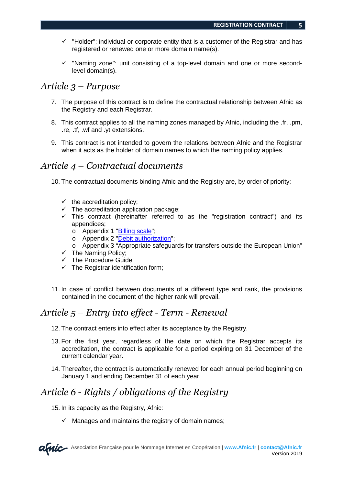- $\checkmark$  "Holder": individual or corporate entity that is a customer of the Registrar and has registered or renewed one or more domain name(s).
- $\checkmark$  "Naming zone": unit consisting of a top-level domain and one or more secondlevel domain(s).

#### *Article 3 – Purpose*

- 7. The purpose of this contract is to define the contractual relationship between Afnic as the Registry and each Registrar.
- 8. This contract applies to all the naming zones managed by Afnic, including the .fr, .pm, .re, .tf, .wf and .yt extensions.
- 9. This contract is not intended to govern the relations between Afnic and the Registrar when it acts as the holder of domain names to which the naming policy applies.

#### *Article 4 – Contractual documents*

10. The contractual documents binding Afnic and the Registry are, by order of priority:

- $\checkmark$  the accreditation policy;
- $\checkmark$  The accreditation application package;
- $\checkmark$  This contract (hereinafter referred to as the "registration contract") and its appendices;
	- o Appendix 1 "Billing scale";
	- o Appendix 2 "Debit authorization";
	- o Appendix 3 "Appropriate safeguards for transfers outside the European Union"
- $\checkmark$  The Naming Policy;
- $\checkmark$  The Procedure Guide
- $\checkmark$  The Registrar identification form;
- 11. In case of conflict between documents of a different type and rank, the provisions contained in the document of the higher rank will prevail.

#### *Article 5 – Entry into effect - Term - Renewal*

- 12. The contract enters into effect after its acceptance by the Registry.
- 13. For the first year, regardless of the date on which the Registrar accepts its accreditation, the contract is applicable for a period expiring on 31 December of the current calendar year.
- 14. Thereafter, the contract is automatically renewed for each annual period beginning on January 1 and ending December 31 of each year.

#### *Article 6 - Rights / obligations of the Registry*

15. In its capacity as the Registry, Afnic:

 $\checkmark$  Manages and maintains the registry of domain names;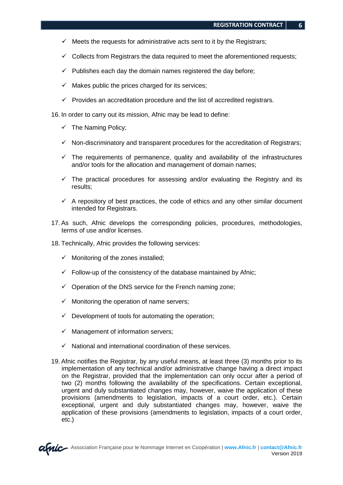- $\checkmark$  Meets the requests for administrative acts sent to it by the Registrars;
- $\checkmark$  Collects from Registrars the data required to meet the aforementioned requests;
- $\checkmark$  Publishes each day the domain names registered the day before;
- $\checkmark$  Makes public the prices charged for its services;
- $\checkmark$  Provides an accreditation procedure and the list of accredited registrars.

16. In order to carry out its mission, Afnic may be lead to define:

- $\checkmark$  The Naming Policy;
- $\checkmark$  Non-discriminatory and transparent procedures for the accreditation of Registrars;
- $\checkmark$  The requirements of permanence, quality and availability of the infrastructures and/or tools for the allocation and management of domain names;
- $\checkmark$  The practical procedures for assessing and/or evaluating the Registry and its results;
- $\checkmark$  A repository of best practices, the code of ethics and any other similar document intended for Registrars.
- 17. As such, Afnic develops the corresponding policies, procedures, methodologies, terms of use and/or licenses.
- 18. Technically, Afnic provides the following services:
	- $\checkmark$  Monitoring of the zones installed;
	- $\checkmark$  Follow-up of the consistency of the database maintained by Afnic;
	- $\checkmark$  Operation of the DNS service for the French naming zone;
	- $\checkmark$  Monitoring the operation of name servers;
	- $\checkmark$  Development of tools for automating the operation;
	- $\checkmark$  Management of information servers;
	- $\checkmark$  National and international coordination of these services.
- 19. Afnic notifies the Registrar, by any useful means, at least three (3) months prior to its implementation of any technical and/or administrative change having a direct impact on the Registrar, provided that the implementation can only occur after a period of two (2) months following the availability of the specifications. Certain exceptional, urgent and duly substantiated changes may, however, waive the application of these provisions (amendments to legislation, impacts of a court order, etc.). Certain exceptional, urgent and duly substantiated changes may, however, waive the application of these provisions (amendments to legislation, impacts of a court order, etc.)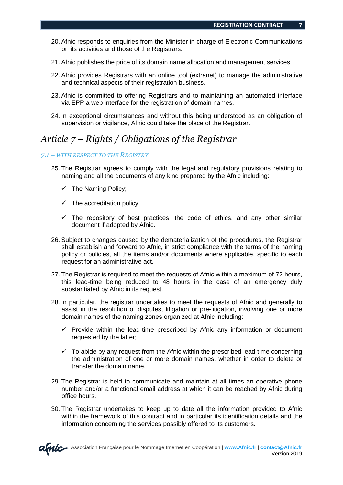- 20. Afnic responds to enquiries from the Minister in charge of Electronic Communications on its activities and those of the Registrars.
- 21. Afnic publishes the price of its domain name allocation and management services.
- 22. Afnic provides Registrars with an online tool (extranet) to manage the administrative and technical aspects of their registration business.
- 23. Afnic is committed to offering Registrars and to maintaining an automated interface via EPP a web interface for the registration of domain names.
- 24. In exceptional circumstances and without this being understood as an obligation of supervision or vigilance, Afnic could take the place of the Registrar.

#### *Article 7 – Rights / Obligations of the Registrar*

#### *7.1 – WITH RESPECT TO THE REGISTRY*

- 25. The Registrar agrees to comply with the legal and regulatory provisions relating to naming and all the documents of any kind prepared by the Afnic including:
	- $\checkmark$  The Naming Policy;
	- $\checkmark$  The accreditation policy;
	- $\checkmark$  The repository of best practices, the code of ethics, and any other similar document if adopted by Afnic.
- 26. Subject to changes caused by the dematerialization of the procedures, the Registrar shall establish and forward to Afnic, in strict compliance with the terms of the naming policy or policies, all the items and/or documents where applicable, specific to each request for an administrative act.
- 27. The Registrar is required to meet the requests of Afnic within a maximum of 72 hours, this lead-time being reduced to 48 hours in the case of an emergency duly substantiated by Afnic in its request.
- 28. In particular, the registrar undertakes to meet the requests of Afnic and generally to assist in the resolution of disputes, litigation or pre-litigation, involving one or more domain names of the naming zones organized at Afnic including:
	- $\checkmark$  Provide within the lead-time prescribed by Afnic any information or document requested by the latter;
	- $\checkmark$  To abide by any request from the Afnic within the prescribed lead-time concerning the administration of one or more domain names, whether in order to delete or transfer the domain name.
- 29. The Registrar is held to communicate and maintain at all times an operative phone number and/or a functional email address at which it can be reached by Afnic during office hours.
- 30. The Registrar undertakes to keep up to date all the information provided to Afnic within the framework of this contract and in particular its identification details and the information concerning the services possibly offered to its customers.

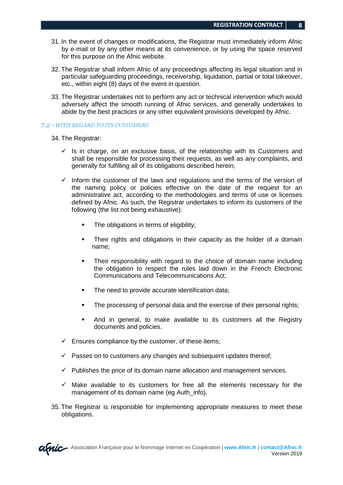- 31. In the event of changes or modifications, the Registrar must immediately inform Afnic by e-mail or by any other means at its convenience, or by using the space reserved for this purpose on the Afnic website.
- 32. The Registrar shall inform Afnic of any proceedings affecting its legal situation and in particular safeguarding proceedings, receivership, liquidation, partial or total takeover, etc., within eight (8) days of the event in question.
- 33. The Registrar undertakes not to perform any act or technical intervention which would adversely affect the smooth running of Afnic services, and generally undertakes to abide by the best practices or any other equivalent provisions developed by Afnic.

#### *7.2 - WITH REGARD TO ITS CUSTOMERS*

- 34. The Registrar:
	- $\checkmark$  Is in charge, on an exclusive basis, of the relationship with its Customers and shall be responsible for processing their requests, as well as any complaints, and generally for fulfilling all of its obligations described herein;
	- $\checkmark$  Inform the customer of the laws and regulations and the terms of the version of the naming policy or policies effective on the date of the request for an administrative act, according to the methodologies and terms of use or licenses defined by Afnic. As such, the Registrar undertakes to inform its customers of the following (the list not being exhaustive):
		- The obligations in terms of eligibility;
		- Their rights and obligations in their capacity as the holder of a domain name;
		- Their responsibility with regard to the choice of domain name including the obligation to respect the rules laid down in the French Electronic Communications and Telecommunications Act;
		- The need to provide accurate identification data:
		- The processing of personal data and the exercise of their personal rights;
		- And in general, to make available to its customers all the Registry documents and policies.
	- $\checkmark$  Ensures compliance by the customer, of these items;
	- $\checkmark$  Passes on to customers any changes and subsequent updates thereof;
	- $\checkmark$  Publishes the price of its domain name allocation and management services.
	- $\checkmark$  Make available to its customers for free all the elements necessary for the management of its domain name (eg Auth info).
- 35. The Registrar is responsible for implementing appropriate measures to meet these obligations.

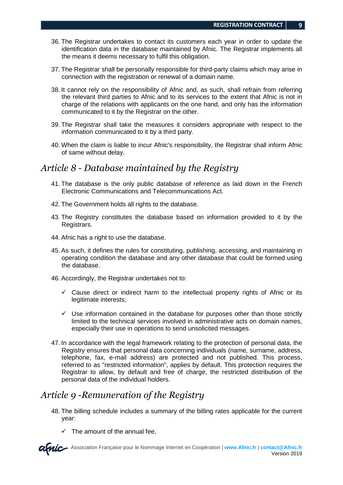- 36. The Registrar undertakes to contact its customers each year in order to update the identification data in the database maintained by Afnic. The Registrar implements all the means it deems necessary to fulfil this obligation.
- 37. The Registrar shall be personally responsible for third-party claims which may arise in connection with the registration or renewal of a domain name.
- 38. It cannot rely on the responsibility of Afnic and, as such, shall refrain from referring the relevant third parties to Afnic and to its services to the extent that Afnic is not in charge of the relations with applicants on the one hand, and only has the information communicated to it by the Registrar on the other.
- 39. The Registrar shall take the measures it considers appropriate with respect to the information communicated to it by a third party.
- 40. When the claim is liable to incur Afnic's responsibility, the Registrar shall inform Afnic of same without delay.

#### *Article 8 - Database maintained by the Registry*

- 41. The database is the only public database of reference as laid down in the French Electronic Communications and Telecommunications Act.
- 42. The Government holds all rights to the database.
- 43. The Registry constitutes the database based on information provided to it by the Registrars.
- 44. Afnic has a right to use the database.
- 45. As such, it defines the rules for constituting, publishing, accessing, and maintaining in operating condition the database and any other database that could be formed using the database.
- 46. Accordingly, the Registrar undertakes not to:
	- $\checkmark$  Cause direct or indirect harm to the intellectual property rights of Afnic or its legitimate interests;
	- $\checkmark$  Use information contained in the database for purposes other than those strictly limited to the technical services involved in administrative acts on domain names, especially their use in operations to send unsolicited messages.
- 47. In accordance with the legal framework relating to the protection of personal data, the Registry ensures that personal data concerning individuals (name, surname, address, telephone, fax, e-mail address) are protected and not published. This process, referred to as "restricted information", applies by default. This protection requires the Registrar to allow, by default and free of charge, the restricted distribution of the personal data of the individual holders.

## *Article 9 -Remuneration of the Registry*

- 48. The billing schedule includes a summary of the billing rates applicable for the current year:
	- $\checkmark$  The amount of the annual fee,

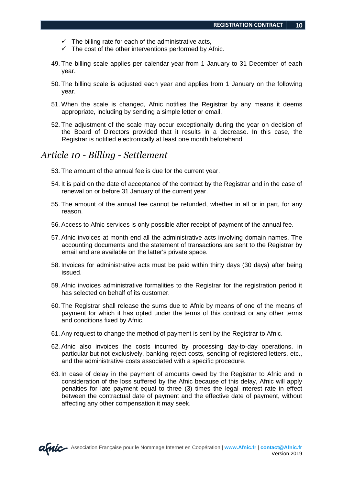- $\checkmark$  The billing rate for each of the administrative acts,
- $\checkmark$  The cost of the other interventions performed by Afnic.
- 49. The billing scale applies per calendar year from 1 January to 31 December of each year.
- 50. The billing scale is adjusted each year and applies from 1 January on the following year.
- 51. When the scale is changed, Afnic notifies the Registrar by any means it deems appropriate, including by sending a simple letter or email.
- 52. The adjustment of the scale may occur exceptionally during the year on decision of the Board of Directors provided that it results in a decrease. In this case, the Registrar is notified electronically at least one month beforehand.

#### *Article 10 - Billing - Settlement*

- 53. The amount of the annual fee is due for the current year.
- 54. It is paid on the date of acceptance of the contract by the Registrar and in the case of renewal on or before 31 January of the current year.
- 55. The amount of the annual fee cannot be refunded, whether in all or in part, for any reason.
- 56. Access to Afnic services is only possible after receipt of payment of the annual fee.
- 57. Afnic invoices at month end all the administrative acts involving domain names. The accounting documents and the statement of transactions are sent to the Registrar by email and are available on the latter's private space.
- 58. Invoices for administrative acts must be paid within thirty days (30 days) after being issued.
- 59. Afnic invoices administrative formalities to the Registrar for the registration period it has selected on behalf of its customer.
- 60. The Registrar shall release the sums due to Afnic by means of one of the means of payment for which it has opted under the terms of this contract or any other terms and conditions fixed by Afnic.
- 61. Any request to change the method of payment is sent by the Registrar to Afnic.
- 62. Afnic also invoices the costs incurred by processing day-to-day operations, in particular but not exclusively, banking reject costs, sending of registered letters, etc., and the administrative costs associated with a specific procedure.
- 63. In case of delay in the payment of amounts owed by the Registrar to Afnic and in consideration of the loss suffered by the Afnic because of this delay, Afnic will apply penalties for late payment equal to three (3) times the legal interest rate in effect between the contractual date of payment and the effective date of payment, without affecting any other compensation it may seek.

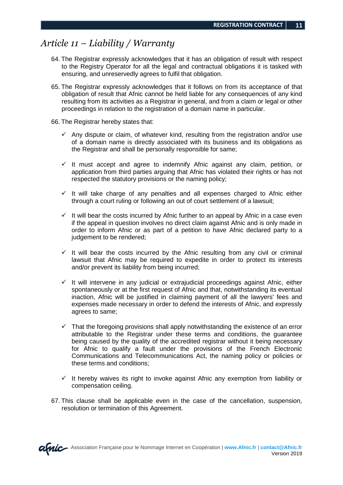#### *Article 11 – Liability / Warranty*

- 64. The Registrar expressly acknowledges that it has an obligation of result with respect to the Registry Operator for all the legal and contractual obligations it is tasked with ensuring, and unreservedly agrees to fulfil that obligation.
- 65. The Registrar expressly acknowledges that it follows on from its acceptance of that obligation of result that Afnic cannot be held liable for any consequences of any kind resulting from its activities as a Registrar in general, and from a claim or legal or other proceedings in relation to the registration of a domain name in particular.
- 66. The Registrar hereby states that:
	- $\checkmark$  Any dispute or claim, of whatever kind, resulting from the registration and/or use of a domain name is directly associated with its business and its obligations as the Registrar and shall be personally responsible for same;
	- $\checkmark$  It must accept and agree to indemnify Afnic against any claim, petition, or application from third parties arguing that Afnic has violated their rights or has not respected the statutory provisions or the naming policy;
	- $\checkmark$  It will take charge of any penalties and all expenses charged to Afnic either through a court ruling or following an out of court settlement of a lawsuit;
	- $\checkmark$  It will bear the costs incurred by Afnic further to an appeal by Afnic in a case even if the appeal in question involves no direct claim against Afnic and is only made in order to inform Afnic or as part of a petition to have Afnic declared party to a judgement to be rendered;
	- $\checkmark$  It will bear the costs incurred by the Afnic resulting from any civil or criminal lawsuit that Afnic may be required to expedite in order to protect its interests and/or prevent its liability from being incurred;
	- $\checkmark$  It will intervene in any judicial or extrajudicial proceedings against Afnic, either spontaneously or at the first request of Afnic and that, notwithstanding its eventual inaction, Afnic will be justified in claiming payment of all the lawyers' fees and expenses made necessary in order to defend the interests of Afnic, and expressly agrees to same;
	- $\checkmark$  That the foregoing provisions shall apply notwithstanding the existence of an error attributable to the Registrar under these terms and conditions, the guarantee being caused by the quality of the accredited registrar without it being necessary for Afnic to qualify a fault under the provisions of the French Electronic Communications and Telecommunications Act, the naming policy or policies or these terms and conditions;
	- $\checkmark$  It hereby waives its right to invoke against Afnic any exemption from liability or compensation ceiling.
- 67. This clause shall be applicable even in the case of the cancellation, suspension, resolution or termination of this Agreement.

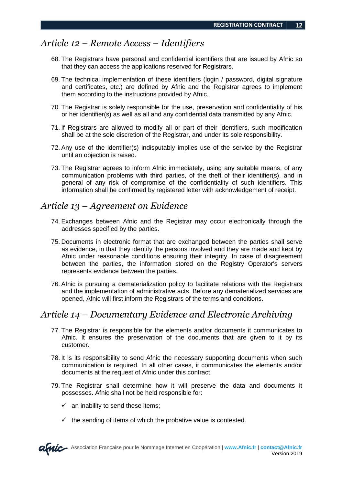#### *Article 12 – Remote Access – Identifiers*

- 68. The Registrars have personal and confidential identifiers that are issued by Afnic so that they can access the applications reserved for Registrars.
- 69. The technical implementation of these identifiers (login / password, digital signature and certificates, etc.) are defined by Afnic and the Registrar agrees to implement them according to the instructions provided by Afnic.
- 70. The Registrar is solely responsible for the use, preservation and confidentiality of his or her identifier(s) as well as all and any confidential data transmitted by any Afnic.
- 71. If Registrars are allowed to modify all or part of their identifiers, such modification shall be at the sole discretion of the Registrar, and under its sole responsibility.
- 72. Any use of the identifier(s) indisputably implies use of the service by the Registrar until an objection is raised.
- 73. The Registrar agrees to inform Afnic immediately, using any suitable means, of any communication problems with third parties, of the theft of their identifier(s), and in general of any risk of compromise of the confidentiality of such identifiers. This information shall be confirmed by registered letter with acknowledgement of receipt.

#### *Article 13 – Agreement on Evidence*

- 74. Exchanges between Afnic and the Registrar may occur electronically through the addresses specified by the parties.
- 75. Documents in electronic format that are exchanged between the parties shall serve as evidence, in that they identify the persons involved and they are made and kept by Afnic under reasonable conditions ensuring their integrity. In case of disagreement between the parties, the information stored on the Registry Operator's servers represents evidence between the parties.
- 76. Afnic is pursuing a dematerialization policy to facilitate relations with the Registrars and the implementation of administrative acts. Before any dematerialized services are opened, Afnic will first inform the Registrars of the terms and conditions.

#### *Article 14 – Documentary Evidence and Electronic Archiving*

- 77. The Registrar is responsible for the elements and/or documents it communicates to Afnic. It ensures the preservation of the documents that are given to it by its customer.
- 78. It is its responsibility to send Afnic the necessary supporting documents when such communication is required. In all other cases, it communicates the elements and/or documents at the request of Afnic under this contract.
- 79. The Registrar shall determine how it will preserve the data and documents it possesses. Afnic shall not be held responsible for:
	- $\checkmark$  an inability to send these items;
	- $\checkmark$  the sending of items of which the probative value is contested.

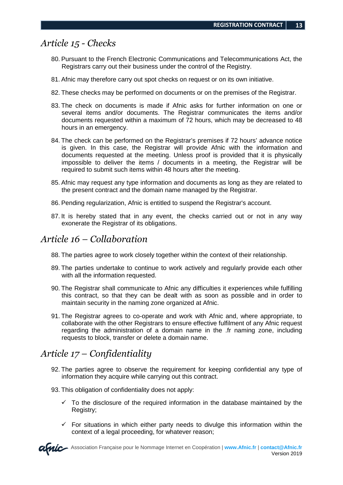#### *Article 15 - Checks*

- 80. Pursuant to the French Electronic Communications and Telecommunications Act, the Registrars carry out their business under the control of the Registry.
- 81. Afnic may therefore carry out spot checks on request or on its own initiative.
- 82. These checks may be performed on documents or on the premises of the Registrar.
- 83. The check on documents is made if Afnic asks for further information on one or several items and/or documents. The Registrar communicates the items and/or documents requested within a maximum of 72 hours, which may be decreased to 48 hours in an emergency.
- 84. The check can be performed on the Registrar's premises if 72 hours' advance notice is given. In this case, the Registrar will provide Afnic with the information and documents requested at the meeting. Unless proof is provided that it is physically impossible to deliver the items / documents in a meeting, the Registrar will be required to submit such items within 48 hours after the meeting.
- 85. Afnic may request any type information and documents as long as they are related to the present contract and the domain name managed by the Registrar.
- 86. Pending regularization, Afnic is entitled to suspend the Registrar's account.
- 87. It is hereby stated that in any event, the checks carried out or not in any way exonerate the Registrar of its obligations.

#### *Article 16 – Collaboration*

- 88. The parties agree to work closely together within the context of their relationship.
- 89. The parties undertake to continue to work actively and regularly provide each other with all the information requested.
- 90. The Registrar shall communicate to Afnic any difficulties it experiences while fulfilling this contract, so that they can be dealt with as soon as possible and in order to maintain security in the naming zone organized at Afnic.
- 91. The Registrar agrees to co-operate and work with Afnic and, where appropriate, to collaborate with the other Registrars to ensure effective fulfilment of any Afnic request regarding the administration of a domain name in the .fr naming zone, including requests to block, transfer or delete a domain name.

#### *Article 17 – Confidentiality*

- 92. The parties agree to observe the requirement for keeping confidential any type of information they acquire while carrying out this contract.
- 93. This obligation of confidentiality does not apply:
	- $\checkmark$  To the disclosure of the required information in the database maintained by the Registry;
	- $\checkmark$  For situations in which either party needs to divulge this information within the context of a legal proceeding, for whatever reason;

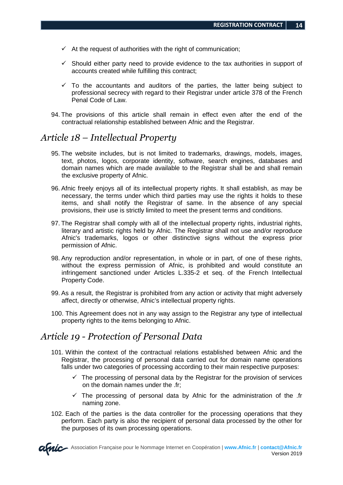- $\checkmark$  At the request of authorities with the right of communication;
- $\checkmark$  Should either party need to provide evidence to the tax authorities in support of accounts created while fulfilling this contract;
- $\checkmark$  To the accountants and auditors of the parties, the latter being subject to professional secrecy with regard to their Registrar under article 378 of the French Penal Code of Law.
- 94. The provisions of this article shall remain in effect even after the end of the contractual relationship established between Afnic and the Registrar.

#### *Article 18 – Intellectual Property*

- 95. The website includes, but is not limited to trademarks, drawings, models, images, text, photos, logos, corporate identity, software, search engines, databases and domain names which are made available to the Registrar shall be and shall remain the exclusive property of Afnic.
- 96. Afnic freely enjoys all of its intellectual property rights. It shall establish, as may be necessary, the terms under which third parties may use the rights it holds to these items, and shall notify the Registrar of same. In the absence of any special provisions, their use is strictly limited to meet the present terms and conditions.
- 97. The Registrar shall comply with all of the intellectual property rights, industrial rights, literary and artistic rights held by Afnic. The Registrar shall not use and/or reproduce Afnic's trademarks, logos or other distinctive signs without the express prior permission of Afnic.
- 98. Any reproduction and/or representation, in whole or in part, of one of these rights, without the express permission of Afnic, is prohibited and would constitute an infringement sanctioned under Articles L.335-2 et seq. of the French Intellectual Property Code.
- 99. As a result, the Registrar is prohibited from any action or activity that might adversely affect, directly or otherwise, Afnic's intellectual property rights.
- 100. This Agreement does not in any way assign to the Registrar any type of intellectual property rights to the items belonging to Afnic.

#### *Article 19 - Protection of Personal Data*

- 101. Within the context of the contractual relations established between Afnic and the Registrar, the processing of personal data carried out for domain name operations falls under two categories of processing according to their main respective purposes:
	- $\checkmark$  The processing of personal data by the Registrar for the provision of services on the domain names under the .fr;
	- $\checkmark$  The processing of personal data by Afnic for the administration of the .fr naming zone.
- 102. Each of the parties is the data controller for the processing operations that they perform. Each party is also the recipient of personal data processed by the other for the purposes of its own processing operations.

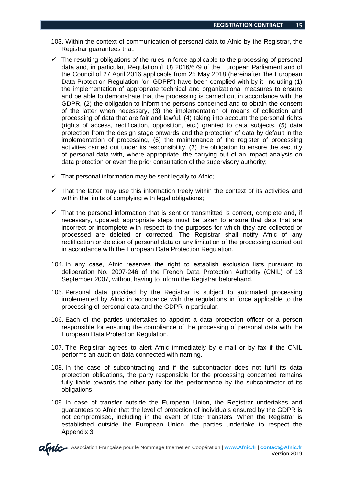- 103. Within the context of communication of personal data to Afnic by the Registrar, the Registrar guarantees that:
- $\checkmark$  The resulting obligations of the rules in force applicable to the processing of personal data and, in particular, Regulation (EU) 2016/679 of the European Parliament and of the Council of 27 April 2016 applicable from 25 May 2018 (hereinafter 'the European Data Protection Regulation "or" GDPR") have been complied with by it, including (1) the implementation of appropriate technical and organizational measures to ensure and be able to demonstrate that the processing is carried out in accordance with the GDPR, (2) the obligation to inform the persons concerned and to obtain the consent of the latter when necessary, (3) the implementation of means of collection and processing of data that are fair and lawful, (4) taking into account the personal rights (rights of access, rectification, opposition, etc.) granted to data subjects, (5) data protection from the design stage onwards and the protection of data by default in the implementation of processing, (6) the maintenance of the register of processing activities carried out under its responsibility, (7) the obligation to ensure the security of personal data with, where appropriate, the carrying out of an impact analysis on data protection or even the prior consultation of the supervisory authority;
- $\checkmark$  That personal information may be sent legally to Afnic;
- $\checkmark$  That the latter may use this information freely within the context of its activities and within the limits of complying with legal obligations;
- $\checkmark$  That the personal information that is sent or transmitted is correct, complete and, if necessary, updated; appropriate steps must be taken to ensure that data that are incorrect or incomplete with respect to the purposes for which they are collected or processed are deleted or corrected. The Registrar shall notify Afnic of any rectification or deletion of personal data or any limitation of the processing carried out in accordance with the European Data Protection Regulation.
- 104. In any case, Afnic reserves the right to establish exclusion lists pursuant to deliberation No. 2007-246 of the French Data Protection Authority (CNIL) of 13 September 2007, without having to inform the Registrar beforehand.
- 105. Personal data provided by the Registrar is subject to automated processing implemented by Afnic in accordance with the regulations in force applicable to the processing of personal data and the GDPR in particular.
- 106. Each of the parties undertakes to appoint a data protection officer or a person responsible for ensuring the compliance of the processing of personal data with the European Data Protection Regulation.
- 107. The Registrar agrees to alert Afnic immediately by e-mail or by fax if the CNIL performs an audit on data connected with naming.
- 108. In the case of subcontracting and if the subcontractor does not fulfil its data protection obligations, the party responsible for the processing concerned remains fully liable towards the other party for the performance by the subcontractor of its obligations.
- 109. In case of transfer outside the European Union, the Registrar undertakes and guarantees to Afnic that the level of protection of individuals ensured by the GDPR is not compromised, including in the event of later transfers. When the Registrar is established outside the European Union, the parties undertake to respect the Appendix 3.

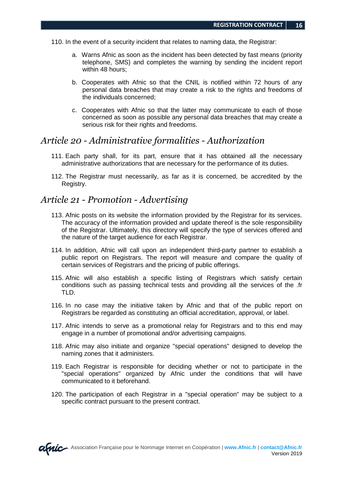- 110. In the event of a security incident that relates to naming data, the Registrar:
	- a. Warns Afnic as soon as the incident has been detected by fast means (priority telephone, SMS) and completes the warning by sending the incident report within 48 hours;
	- b. Cooperates with Afnic so that the CNIL is notified within 72 hours of any personal data breaches that may create a risk to the rights and freedoms of the individuals concerned;
	- c. Cooperates with Afnic so that the latter may communicate to each of those concerned as soon as possible any personal data breaches that may create a serious risk for their rights and freedoms.

#### *Article 20 - Administrative formalities - Authorization*

- 111. Each party shall, for its part, ensure that it has obtained all the necessary administrative authorizations that are necessary for the performance of its duties.
- 112. The Registrar must necessarily, as far as it is concerned, be accredited by the Registry.

#### *Article 21 - Promotion - Advertising*

- 113. Afnic posts on its website the information provided by the Registrar for its services. The accuracy of the information provided and update thereof is the sole responsibility of the Registrar. Ultimately, this directory will specify the type of services offered and the nature of the target audience for each Registrar.
- 114. In addition, Afnic will call upon an independent third-party partner to establish a public report on Registrars. The report will measure and compare the quality of certain services of Registrars and the pricing of public offerings.
- 115. Afnic will also establish a specific listing of Registrars which satisfy certain conditions such as passing technical tests and providing all the services of the .fr TLD.
- 116. In no case may the initiative taken by Afnic and that of the public report on Registrars be regarded as constituting an official accreditation, approval, or label.
- 117. Afnic intends to serve as a promotional relay for Registrars and to this end may engage in a number of promotional and/or advertising campaigns.
- 118. Afnic may also initiate and organize "special operations" designed to develop the naming zones that it administers.
- 119. Each Registrar is responsible for deciding whether or not to participate in the "special operations" organized by Afnic under the conditions that will have communicated to it beforehand.
- 120. The participation of each Registrar in a "special operation" may be subject to a specific contract pursuant to the present contract.

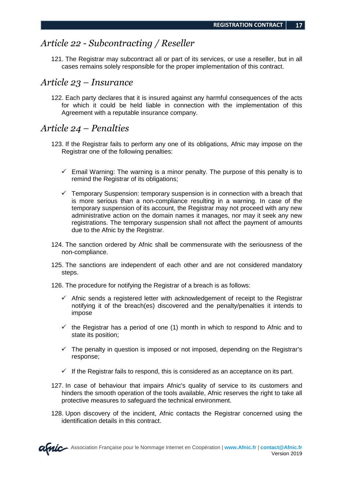Version 2019

#### *Article 22 - Subcontracting / Reseller*

121. The Registrar may subcontract all or part of its services, or use a reseller, but in all cases remains solely responsible for the proper implementation of this contract.

#### *Article 23 – Insurance*

122. Each party declares that it is insured against any harmful consequences of the acts for which it could be held liable in connection with the implementation of this Agreement with a reputable insurance company.

#### *Article 24 – Penalties*

- 123. If the Registrar fails to perform any one of its obligations, Afnic may impose on the Registrar one of the following penalties:
	- $\checkmark$  Email Warning: The warning is a minor penalty. The purpose of this penalty is to remind the Registrar of its obligations;
	- $\checkmark$  Temporary Suspension: temporary suspension is in connection with a breach that is more serious than a non-compliance resulting in a warning. In case of the temporary suspension of its account, the Registrar may not proceed with any new administrative action on the domain names it manages, nor may it seek any new registrations. The temporary suspension shall not affect the payment of amounts due to the Afnic by the Registrar.
- 124. The sanction ordered by Afnic shall be commensurate with the seriousness of the non-compliance.
- 125. The sanctions are independent of each other and are not considered mandatory steps.
- 126. The procedure for notifying the Registrar of a breach is as follows:
	- $\checkmark$  Afnic sends a registered letter with acknowledgement of receipt to the Registrar notifying it of the breach(es) discovered and the penalty/penalties it intends to impose
	- $\checkmark$  the Registrar has a period of one (1) month in which to respond to Afnic and to state its position;
	- $\checkmark$  The penalty in question is imposed or not imposed, depending on the Registrar's response;
	- $\checkmark$  If the Registrar fails to respond, this is considered as an acceptance on its part.
- 127. In case of behaviour that impairs Afnic's quality of service to its customers and hinders the smooth operation of the tools available, Afnic reserves the right to take all protective measures to safeguard the technical environment.
- 128. Upon discovery of the incident, Afnic contacts the Registrar concerned using the identification details in this contract.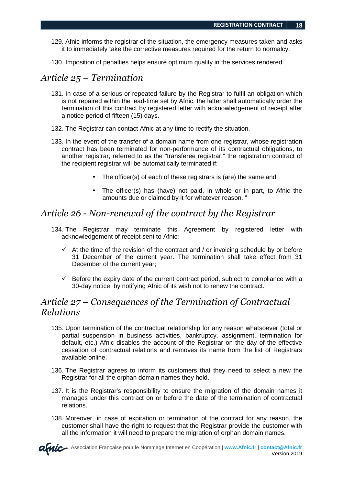- 129. Afnic informs the registrar of the situation, the emergency measures taken and asks it to immediately take the corrective measures required for the return to normalcy.
- 130. Imposition of penalties helps ensure optimum quality in the services rendered.

#### *Article 25 – Termination*

- 131. In case of a serious or repeated failure by the Registrar to fulfil an obligation which is not repaired within the lead-time set by Afnic, the latter shall automatically order the termination of this contract by registered letter with acknowledgement of receipt after a notice period of fifteen (15) days.
- 132. The Registrar can contact Afnic at any time to rectify the situation.
- 133. In the event of the transfer of a domain name from one registrar, whose registration contract has been terminated for non-performance of its contractual obligations, to another registrar, referred to as the "transferee registrar," the registration contract of the recipient registrar will be automatically terminated if:
	- The officer(s) of each of these registrars is (are) the same and
	- The officer(s) has (have) not paid, in whole or in part, to Afnic the amounts due or claimed by it for whatever reason. "

#### *Article 26 - Non-renewal of the contract by the Registrar*

- 134. The Registrar may terminate this Agreement by registered letter with acknowledgement of receipt sent to Afnic:
	- $\checkmark$  At the time of the revision of the contract and / or invoicing schedule by or before 31 December of the current year. The termination shall take effect from 31 December of the current year;
	- $\checkmark$  Before the expiry date of the current contract period, subject to compliance with a 30-day notice, by notifying Afnic of its wish not to renew the contract.

#### *Article 27 – Consequences of the Termination of Contractual Relations*

- 135. Upon termination of the contractual relationship for any reason whatsoever (total or partial suspension in business activities, bankruptcy, assignment, termination for default, etc.) Afnic disables the account of the Registrar on the day of the effective cessation of contractual relations and removes its name from the list of Registrars available online.
- 136. The Registrar agrees to inform its customers that they need to select a new the Registrar for all the orphan domain names they hold.
- 137. It is the Registrar's responsibility to ensure the migration of the domain names it manages under this contract on or before the date of the termination of contractual relations.
- 138. Moreover, in case of expiration or termination of the contract for any reason, the customer shall have the right to request that the Registrar provide the customer with all the information it will need to prepare the migration of orphan domain names.

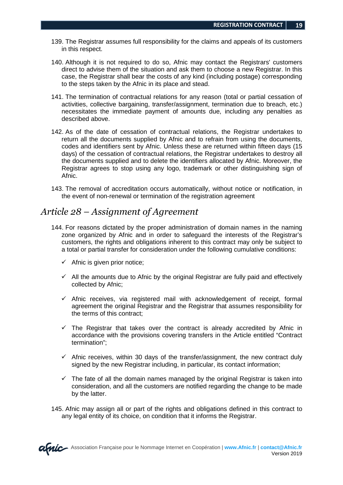- 139. The Registrar assumes full responsibility for the claims and appeals of its customers in this respect.
- 140. Although it is not required to do so, Afnic may contact the Registrars' customers direct to advise them of the situation and ask them to choose a new Registrar. In this case, the Registrar shall bear the costs of any kind (including postage) corresponding to the steps taken by the Afnic in its place and stead.
- 141. The termination of contractual relations for any reason (total or partial cessation of activities, collective bargaining, transfer/assignment, termination due to breach, etc.) necessitates the immediate payment of amounts due, including any penalties as described above.
- 142. As of the date of cessation of contractual relations, the Registrar undertakes to return all the documents supplied by Afnic and to refrain from using the documents, codes and identifiers sent by Afnic. Unless these are returned within fifteen days (15 days) of the cessation of contractual relations, the Registrar undertakes to destroy all the documents supplied and to delete the identifiers allocated by Afnic. Moreover, the Registrar agrees to stop using any logo, trademark or other distinguishing sign of Afnic.
- 143. The removal of accreditation occurs automatically, without notice or notification, in the event of non-renewal or termination of the registration agreement

#### *Article 28 – Assignment of Agreement*

- 144. For reasons dictated by the proper administration of domain names in the naming zone organized by Afnic and in order to safeguard the interests of the Registrar's customers, the rights and obligations inherent to this contract may only be subject to a total or partial transfer for consideration under the following cumulative conditions:
	- $\checkmark$  Afnic is given prior notice;
	- $\checkmark$  All the amounts due to Afnic by the original Registrar are fully paid and effectively collected by Afnic;
	- $\checkmark$  Afnic receives, via registered mail with acknowledgement of receipt, formal agreement the original Registrar and the Registrar that assumes responsibility for the terms of this contract;
	- $\checkmark$  The Registrar that takes over the contract is already accredited by Afnic in accordance with the provisions covering transfers in the Article entitled "Contract termination";
	- $\checkmark$  Afnic receives, within 30 days of the transfer/assignment, the new contract duly signed by the new Registrar including, in particular, its contact information;
	- $\checkmark$  The fate of all the domain names managed by the original Registrar is taken into consideration, and all the customers are notified regarding the change to be made by the latter.
- 145. Afnic may assign all or part of the rights and obligations defined in this contract to any legal entity of its choice, on condition that it informs the Registrar.

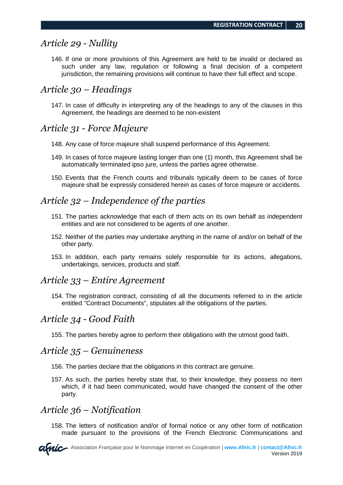#### *Article 29 - Nullity*

146. If one or more provisions of this Agreement are held to be invalid or declared as such under any law, regulation or following a final decision of a competent jurisdiction, the remaining provisions will continue to have their full effect and scope.

#### *Article 30 – Headings*

147. In case of difficulty in interpreting any of the headings to any of the clauses in this Agreement, the headings are deemed to be non-existent

#### *Article 31 - Force Majeure*

- 148. Any case of force majeure shall suspend performance of this Agreement.
- 149. In cases of force majeure lasting longer than one (1) month, this Agreement shall be automatically terminated ipso jure, unless the parties agree otherwise.
- 150. Events that the French courts and tribunals typically deem to be cases of force majeure shall be expressly considered herein as cases of force majeure or accidents.

#### *Article 32 – Independence of the parties*

- 151. The parties acknowledge that each of them acts on its own behalf as independent entities and are not considered to be agents of one another.
- 152. Neither of the parties may undertake anything in the name of and/or on behalf of the other party.
- 153. In addition, each party remains solely responsible for its actions, allegations, undertakings, services, products and staff.

#### *Article 33 – Entire Agreement*

154. The registration contract, consisting of all the documents referred to in the article entitled "Contract Documents", stipulates all the obligations of the parties.

#### *Article 34 - Good Faith*

155. The parties hereby agree to perform their obligations with the utmost good faith.

#### *Article 35 – Genuineness*

- 156. The parties declare that the obligations in this contract are genuine.
- 157. As such, the parties hereby state that, to their knowledge, they possess no item which, if it had been communicated, would have changed the consent of the other party.

#### *Article 36 – Notification*

158. The letters of notification and/or of formal notice or any other form of notification made pursuant to the provisions of the French Electronic Communications and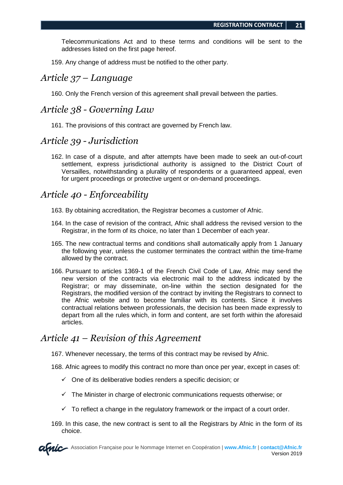Telecommunications Act and to these terms and conditions will be sent to the addresses listed on the first page hereof.

159. Any change of address must be notified to the other party.

#### *Article 37 – Language*

160. Only the French version of this agreement shall prevail between the parties.

#### *Article 38 - Governing Law*

161. The provisions of this contract are governed by French law.

#### *Article 39 - Jurisdiction*

162. In case of a dispute, and after attempts have been made to seek an out-of-court settlement, express jurisdictional authority is assigned to the District Court of Versailles, notwithstanding a plurality of respondents or a guaranteed appeal, even for urgent proceedings or protective urgent or on-demand proceedings.

#### *Article 40 - Enforceability*

- 163. By obtaining accreditation, the Registrar becomes a customer of Afnic.
- 164. In the case of revision of the contract, Afnic shall address the revised version to the Registrar, in the form of its choice, no later than 1 December of each year.
- 165. The new contractual terms and conditions shall automatically apply from 1 January the following year, unless the customer terminates the contract within the time-frame allowed by the contract.
- 166. Pursuant to articles 1369-1 of the French Civil Code of Law, Afnic may send the new version of the contracts via electronic mail to the address indicated by the Registrar; or may disseminate, on-line within the section designated for the Registrars, the modified version of the contract by inviting the Registrars to connect to the Afnic website and to become familiar with its contents. Since it involves contractual relations between professionals, the decision has been made expressly to depart from all the rules which, in form and content, are set forth within the aforesaid articles.

#### *Article 41 – Revision of this Agreement*

167. Whenever necessary, the terms of this contract may be revised by Afnic.

- 168. Afnic agrees to modify this contract no more than once per year, except in cases of:
	- $\checkmark$  One of its deliberative bodies renders a specific decision; or
	- $\checkmark$  The Minister in charge of electronic communications requests otherwise; or
	- $\checkmark$  To reflect a change in the regulatory framework or the impact of a court order.
- 169. In this case, the new contract is sent to all the Registrars by Afnic in the form of its choice.